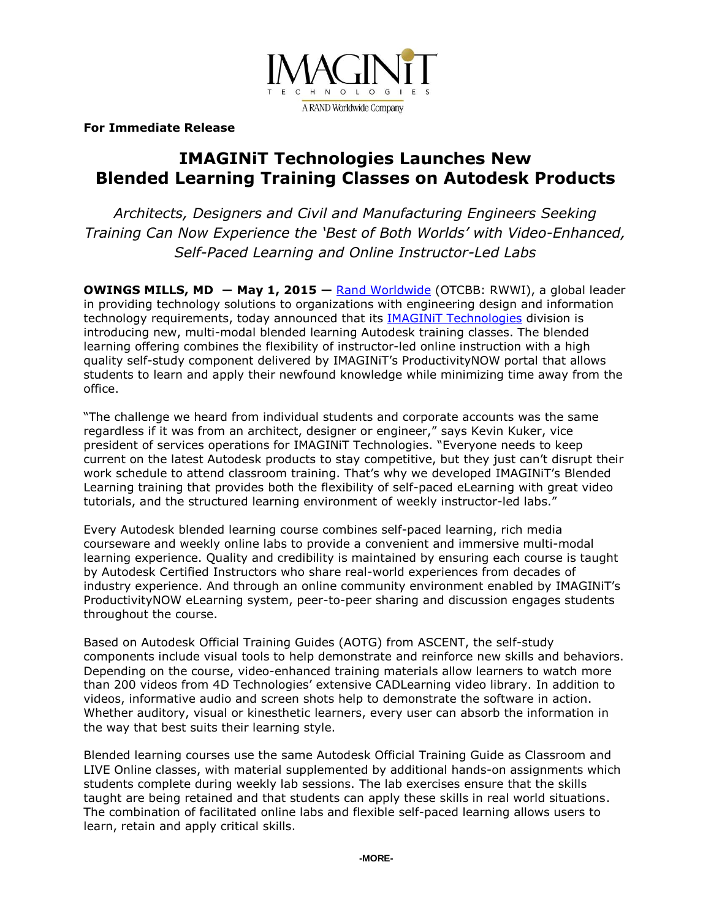

**For Immediate Release**

# **IMAGINiT Technologies Launches New Blended Learning Training Classes on Autodesk Products**

*Architects, Designers and Civil and Manufacturing Engineers Seeking Training Can Now Experience the 'Best of Both Worlds' with Video-Enhanced, Self-Paced Learning and Online Instructor-Led Labs*

**OWINGS MILLS, MD ― May 1, 2015 —** [Rand Worldwide](http://www.rand.com/) (OTCBB: RWWI), a global leader in providing technology solutions to organizations with engineering design and information technology requirements, today announced that its **IMAGINIT Technologies** division is introducing new, multi-modal blended learning Autodesk training classes. The blended learning offering combines the flexibility of instructor-led online instruction with a high quality self-study component delivered by IMAGINiT's ProductivityNOW portal that allows students to learn and apply their newfound knowledge while minimizing time away from the office.

"The challenge we heard from individual students and corporate accounts was the same regardless if it was from an architect, designer or engineer," says Kevin Kuker, vice president of services operations for IMAGINiT Technologies. "Everyone needs to keep current on the latest Autodesk products to stay competitive, but they just can't disrupt their work schedule to attend classroom training. That's why we developed IMAGINiT's Blended Learning training that provides both the flexibility of self-paced eLearning with great video tutorials, and the structured learning environment of weekly instructor-led labs."

Every Autodesk blended learning course combines self-paced learning, rich media courseware and weekly online labs to provide a convenient and immersive multi-modal learning experience. Quality and credibility is maintained by ensuring each course is taught by Autodesk Certified Instructors who share real-world experiences from decades of industry experience. And through an online community environment enabled by IMAGINiT's ProductivityNOW eLearning system, peer-to-peer sharing and discussion engages students throughout the course.

Based on Autodesk Official Training Guides (AOTG) from ASCENT, the self-study components include visual tools to help demonstrate and reinforce new skills and behaviors. Depending on the course, video-enhanced training materials allow learners to watch more than 200 videos from 4D Technologies' extensive CADLearning video library. In addition to videos, informative audio and screen shots help to demonstrate the software in action. Whether auditory, visual or kinesthetic learners, every user can absorb the information in the way that best suits their learning style.

Blended learning courses use the same Autodesk Official Training Guide as Classroom and LIVE Online classes, with material supplemented by additional hands-on assignments which students complete during weekly lab sessions. The lab exercises ensure that the skills taught are being retained and that students can apply these skills in real world situations. The combination of facilitated online labs and flexible self-paced learning allows users to learn, retain and apply critical skills.